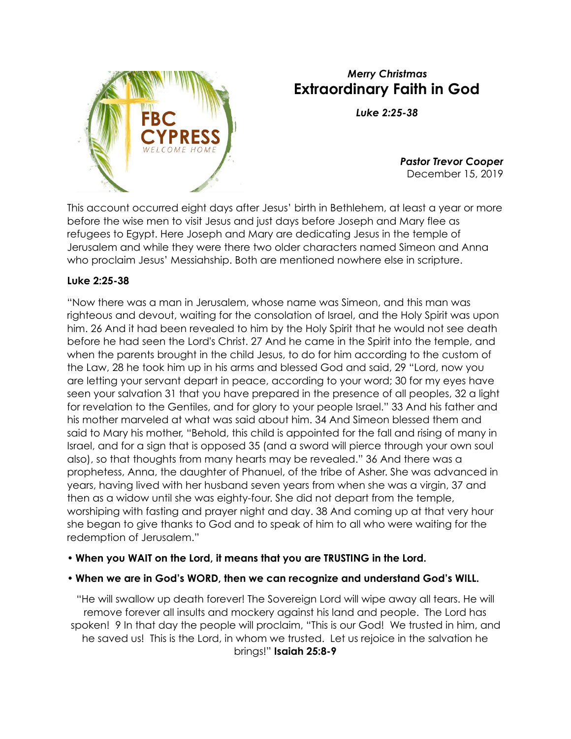

# *Merry Christmas*  **Extraordinary Faith in God**

*Luke 2:25-38* 

*Pastor Trevor Cooper*  December 15, 2019

This account occurred eight days after Jesus' birth in Bethlehem, at least a year or more before the wise men to visit Jesus and just days before Joseph and Mary flee as refugees to Egypt. Here Joseph and Mary are dedicating Jesus in the temple of Jerusalem and while they were there two older characters named Simeon and Anna who proclaim Jesus' Messiahship. Both are mentioned nowhere else in scripture.

#### **Luke 2:25-38**

"Now there was a man in Jerusalem, whose name was Simeon, and this man was righteous and devout, waiting for the consolation of Israel, and the Holy Spirit was upon him. 26 And it had been revealed to him by the Holy Spirit that he would not see death before he had seen the Lord's Christ. 27 And he came in the Spirit into the temple, and when the parents brought in the child Jesus, to do for him according to the custom of the Law, 28 he took him up in his arms and blessed God and said, 29 "Lord, now you are letting your servant depart in peace, according to your word; 30 for my eyes have seen your salvation 31 that you have prepared in the presence of all peoples, 32 a light for revelation to the Gentiles, and for glory to your people Israel." 33 And his father and his mother marveled at what was said about him. 34 And Simeon blessed them and said to Mary his mother, "Behold, this child is appointed for the fall and rising of many in Israel, and for a sign that is opposed 35 (and a sword will pierce through your own soul also), so that thoughts from many hearts may be revealed." 36 And there was a prophetess, Anna, the daughter of Phanuel, of the tribe of Asher. She was advanced in years, having lived with her husband seven years from when she was a virgin, 37 and then as a widow until she was eighty-four. She did not depart from the temple, worshiping with fasting and prayer night and day. 38 And coming up at that very hour she began to give thanks to God and to speak of him to all who were waiting for the redemption of Jerusalem."

### **• When you WAIT on the Lord, it means that you are TRUSTING in the Lord.**

### **• When we are in God's WORD, then we can recognize and understand God's WILL.**

"He will swallow up death forever! The Sovereign Lord will wipe away all tears. He will remove forever all insults and mockery against his land and people. The Lord has spoken! 9 In that day the people will proclaim, "This is our God! We trusted in him, and he saved us! This is the Lord, in whom we trusted. Let us rejoice in the salvation he brings!" **Isaiah 25:8-9**